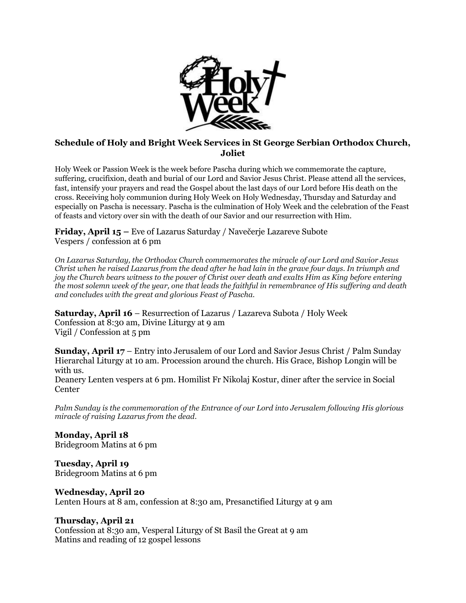

## **Schedule of Holy and Bright Week Services in St George Serbian Orthodox Church, Joliet**

Holy Week or Passion Week is the week before Pascha during which we commemorate the capture, suffering, crucifixion, death and burial of our Lord and Savior Jesus Christ. Please attend all the services, fast, intensify your prayers and read the Gospel about the last days of our Lord before His death on the cross. Receiving holy communion during Holy Week on Holy Wednesday, Thursday and Saturday and especially on Pascha is necessary. Pascha is the culmination of Holy Week and the celebration of the Feast of feasts and victory over sin with the death of our Savior and our resurrection with Him.

**Friday, April 15 –** Eve of Lazarus Saturday / Navečerje Lazareve Subote Vespers / confession at 6 pm

*On Lazarus Saturday, the Orthodox Church commemorates the miracle of our Lord and Savior Jesus Christ when he raised Lazarus from the dead after he had lain in the grave four days. In triumph and joy the Church bears witness to the power of Christ over death and exalts Him as King before entering the most solemn week of the year, one that leads the faithful in remembrance of His suffering and death and concludes with the great and glorious Feast of Pascha.*

**Saturday, April 16** – Resurrection of Lazarus / Lazareva Subota / Holy Week Confession at 8:30 am, Divine Liturgy at 9 am Vigil / Confession at 5 pm

**Sunday, April 17** – Entry into Jerusalem of our Lord and Savior Jesus Christ / Palm Sunday Hierarchal Liturgy at 10 am. Procession around the church. His Grace, Bishop Longin will be with us. Deanery Lenten vespers at 6 pm. Homilist Fr Nikolaj Kostur, diner after the service in Social **Center** 

*Palm Sunday is the commemoration of the Entrance of our Lord into Jerusalem following His glorious miracle of raising Lazarus from the dead.*

**Monday, April 18** Bridegroom Matins at 6 pm

**Tuesday, April 19**  Bridegroom Matins at 6 pm

**Wednesday, April 20**  Lenten Hours at 8 am, confession at 8:30 am, Presanctified Liturgy at 9 am

## **Thursday, April 21**

Confession at 8:30 am, Vesperal Liturgy of St Basil the Great at 9 am Matins and reading of 12 gospel lessons